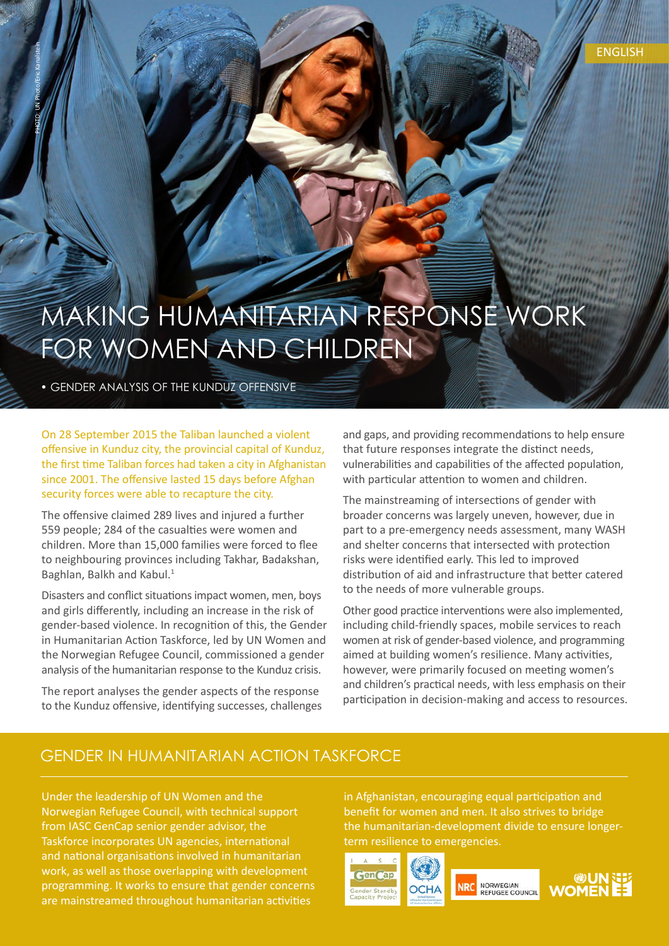### MAKING HUMANITARIAN RESPONSE WORK FOR WOMEN AND CHILDREN

• GENDER ANALYSIS OF THE KUNDUZ OFFENSIVE

PHOTO: UN Photo/Eric Kanalstein

On 28 September 2015 the Taliban launched a violent offensive in Kunduz city, the provincial capital of Kunduz. the first time Taliban forces had taken a city in Afghanistan since 2001. The offensive lasted 15 days before Afghan security forces were able to recapture the city.

The offensive claimed 289 lives and injured a further 559 people; 284 of the casualties were women and children. More than 15,000 families were forced to flee to neighbouring provinces including Takhar, Badakshan, Baghlan, Balkh and Kabul.<sup>1</sup>

Disasters and conflict situations impact women, men, boys and girls differently, including an increase in the risk of gender-based violence. In recognition of this, the Gender in Humanitarian Action Taskforce, led by UN Women and the Norwegian Refugee Council, commissioned a gender analysis of the humanitarian response to the Kunduz crisis.

The report analyses the gender aspects of the response to the Kunduz offensive, identifying successes, challenges and gaps, and providing recommendations to help ensure that future responses integrate the distinct needs. vulnerabilities and capabilities of the affected population, with particular attention to women and children.

The mainstreaming of intersections of gender with broader concerns was largely uneven, however, due in part to a pre-emergency needs assessment, many WASH and shelter concerns that intersected with protection risks were identified early. This led to improved distribution of aid and infrastructure that better catered to the needs of more vulnerable groups.

Other good practice interventions were also implemented, including child-friendly spaces, mobile services to reach women at risk of gender-based violence, and programming aimed at building women's resilience. Many activities, however, were primarily focused on meeting women's and children's practical needs, with less emphasis on their participation in decision-making and access to resources.

### GENDER IN HUMANITARIAN ACTION TASKFORCE

Under the leadership of UN Women and the Norwegian Refugee Council, with technical support from IASC GenCap senior gender advisor, the Taskforce incorporates UN agencies, international and national organisations involved in humanitarian work, as well as those overlapping with development programming. It works to ensure that gender concerns are mainstreamed throughout humanitarian activities

in Afghanistan, encouraging equal participation and benefit for women and men. It also strives to bridge the humanitarian-development divide to ensure longer-<br>term resilience to emergencies.